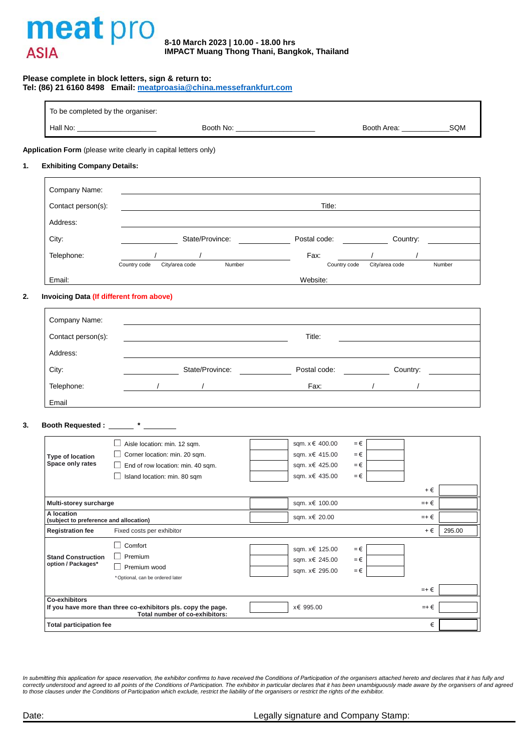# meat pro **ASIA**

# **8-10 March 2023 | 10.00 - 18.00 hrs IMPACT Muang Thong Thani, Bangkok, Thailand**

## **Please complete in block letters, sign & return to: Tel: (86) 21 6160 8498 Email: [meatproasia@china.messefrankfurt.com](mailto:meatproasia@china.messefrankfurt.com)**

| To be completed by the organiser: |           |             |     |
|-----------------------------------|-----------|-------------|-----|
| Hall No:                          | Booth No: | Booth Area: | SQM |

**Application Form** (please write clearly in capital letters only)

## **1. Exhibiting Company Details:**

| Company Name:      |              |                          |              |                |          |        |
|--------------------|--------------|--------------------------|--------------|----------------|----------|--------|
| Contact person(s): |              |                          | Title:       |                |          |        |
| Address:           |              |                          |              |                |          |        |
| City:              |              | State/Province:          | Postal code: |                | Country: |        |
|                    |              |                          |              |                |          |        |
| Telephone:         |              |                          | Fax:         |                |          |        |
|                    | Country code | Number<br>City/area code | Country code | City/area code |          | Number |
| Email:             |              |                          | Website:     |                |          |        |

## **2. Invoicing Data (If different from above)**

| Company Name:      |                 |              |          |  |
|--------------------|-----------------|--------------|----------|--|
| Contact person(s): |                 | Title:       |          |  |
| Address:           |                 |              |          |  |
| City:              | State/Province: | Postal code: | Country: |  |
|                    |                 |              |          |  |
| Telephone:         |                 | Fax:         |          |  |
| Email              |                 |              |          |  |

## **3. Booth Requested : \_\_\_\_\_\_ \* \_\_\_\_\_\_**

| Type of location<br>Space only rates                                                                                    | Aisle location: min. 12 sqm.<br>Corner location: min. 20 sqm.<br>End of row location: min. 40 sqm.<br>Island location: min. 80 sqm |  | sqm. x € 400.00<br>sqm. x€ 415.00<br>sqm. x€ 425.00<br>sqm. x€ 435.00 | $= \epsilon$<br>$= \epsilon$<br>$= \epsilon$<br>$=\epsilon$ |                      |        |
|-------------------------------------------------------------------------------------------------------------------------|------------------------------------------------------------------------------------------------------------------------------------|--|-----------------------------------------------------------------------|-------------------------------------------------------------|----------------------|--------|
| Multi-storey surcharge                                                                                                  |                                                                                                                                    |  | sqm. x€ 100.00                                                        |                                                             | $+ \in$<br>$= + \in$ |        |
| A location<br>(subject to preference and allocation)                                                                    |                                                                                                                                    |  | sqm. x€ 20.00                                                         |                                                             | $= + \in$            |        |
| <b>Registration fee</b>                                                                                                 | Fixed costs per exhibitor                                                                                                          |  |                                                                       |                                                             | $+ \in$              | 295.00 |
| <b>Stand Construction</b><br>option / Packages*                                                                         | Comfort<br>Premium<br>$\mathsf{L}$<br>Premium wood<br>* Optional, can be ordered later                                             |  | sqm. x€ 125.00<br>sqm. x€ 245.00<br>sqm. x€ 295.00                    | $= \epsilon$<br>$= \epsilon$<br>$=\epsilon$                 |                      |        |
|                                                                                                                         |                                                                                                                                    |  |                                                                       |                                                             | $=+\in$              |        |
| <b>Co-exhibitors</b><br>If you have more than three co-exhibitors pls. copy the page.<br>Total number of co-exhibitors: |                                                                                                                                    |  | x€ 995.00                                                             |                                                             | $=+\in$              |        |
| <b>Total participation fee</b>                                                                                          |                                                                                                                                    |  |                                                                       | €                                                           |                      |        |

*In submitting this application for space reservation, the exhibitor confirms to have received the Conditions of Participation of the organisers attached hereto and declares that it has fully and*  correctly understood and agreed to all points of the Conditions of Participation. The exhibitor in particular declares that it has been unambiguously made aware by the organisers of and agreed<br>to those clauses under the Co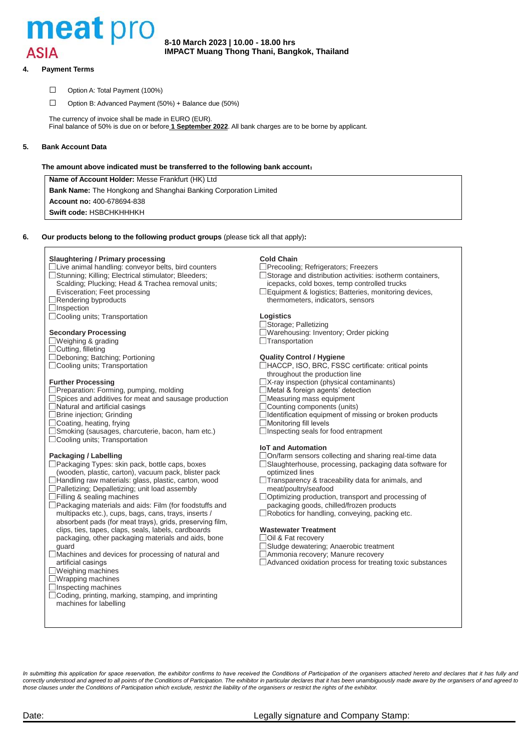# meat pro ASIA

# **8-10 March 2023 | 10.00 - 18.00 hrs IMPACT Muang Thong Thani, Bangkok, Thailand**

## **4. Payment Terms**

- □ Option A: Total Payment (100%)
- $\Box$  Option B: Advanced Payment (50%) + Balance due (50%)

The currency of invoice shall be made in EURO (EUR). Final balance of 50% is due on or before **1 September 2022**. All bank charges are to be borne by applicant.

## **5. Bank Account Data**

### **The amount above indicated must be transferred to the following bank account**:

**Name of Account Holder:** Messe Frankfurt (HK) Ltd **Bank Name:** The Hongkong and Shanghai Banking Corporation Limited **Account no:** 400-678694-838 **Swift code:** HSBCHKHHHKH

### **6. Our products belong to the following product groups** (please tick all that apply)**:**

#### **Slaughtering / Primary processing** Live animal handling: conveyor belts, bird counters

- □Stunning; Killing; Electrical stimulator; Bleeders;
- Scalding; Plucking; Head & Trachea removal units;
- Evisceration; Feet processing
- Rendering byproducts
- $\Box$ Inspection
- Cooling units; Transportation

## **Secondary Processing**

- Weighing & grading
- □Cutting, filleting
- Deboning; Batching; Portioning
- Cooling units; Transportation

## **Further Processing**

- Preparation: Forming, pumping, molding
- Spices and additives for meat and sausage production
- Natural and artificial casings
- □Brine injection; Grinding
- Coating, heating, frying
- Smoking (sausages, charcuterie, bacon, ham etc.)
- □Cooling units; Transportation

## **Packaging / Labelling**

- □Packaging Types: skin pack, bottle caps, boxes
- (wooden, plastic, carton), vacuum pack, blister pack
- $\Box$  Handling raw materials: glass, plastic, carton, wood
- Palletizing; Depalletizing; unit load assembly
- $\Box$  Filling & sealing machines □Packaging materials and aids: Film (for foodstuffs and multipacks etc.), cups, bags, cans, trays, inserts / absorbent pads (for meat trays), grids, preserving film, clips, ties, tapes, claps, seals, labels, cardboards packaging, other packaging materials and aids, bone guard
- Machines and devices for processing of natural and artificial casings
- Weighing machines
- $\Box$ Wrapping machines
- $\Box$ Inspecting machines
- □Coding, printing, marking, stamping, and imprinting machines for labelling

#### **Cold Chain**

- □Precooling; Refrigerators; Freezers
- □Storage and distribution activities: isotherm containers,
- icepacks, cold boxes, temp controlled trucks
- □Equipment & logistics; Batteries, monitoring devices, thermometers, indicators, sensors

# **Logistics**

□Storage; Palletizing □Warehousing: Inventory; Order picking  $\Box$ Transportation

### **Quality Control / Hygiene**

- □HACCP, ISO, BRC, FSSC certificate: critical points throughout the production line
- $\Box$ X-ray inspection (physical contaminants)
- Metal & foreign agents' detection
- Measuring mass equipment
- Counting components (units)
- □Identification equipment of missing or broken products
- Monitoring fill levels
- □Inspecting seals for food entrapment

### **IoT and Automation**

On/farm sensors collecting and sharing real-time data Slaughterhouse, processing, packaging data software for

- optimized lines
- $\Box$ Transparency & traceability data for animals, and meat/poultry/seafood
- □ Optimizing production, transport and processing of
- packaging goods, chilled/frozen products
- Robotics for handling, conveying, packing etc.

#### **Wastewater Treatment**

- □Oil & Fat recovery
- Sludge dewatering; Anaerobic treatment
- Ammonia recovery; Manure recovery
- □ Advanced oxidation process for treating toxic substances

In submitting this application for space reservation, the exhibitor confirms to have received the Conditions of Participation of the organisers attached hereto and declares that it has fully and correctly understood and agreed to all points of the Conditions of Participation. The exhibitor in particular declares that it has been unambiguously made aware by the organisers of and agreed to *those clauses under the Conditions of Participation which exclude, restrict the liability of the organisers or restrict the rights of the exhibitor.*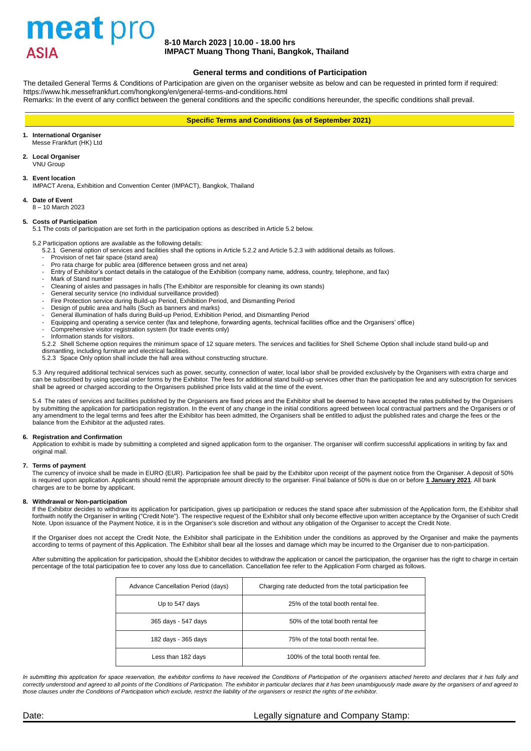

## **8-10 March 2023 | 10.00 - 18.00 hrs IMPACT Muang Thong Thani, Bangkok, Thailand**

#### **General terms and conditions of Participation**

The detailed General Terms & Conditions of Participation are given on the organiser website as below and can be requested in printed form if required: <https://www.hk.messefrankfurt.com/hongkong/en/general-terms-and-conditions.html>

Remarks: In the event of any conflict between the general conditions and the specific conditions hereunder, the specific conditions shall prevail.

**Specific Terms and Conditions (as of September 2021)**

- **1. International Organiser** Messe Frankfurt (HK) Ltd
- **2. Local Organiser** VNU Group
- **3. Event location**
- IMPACT Arena, Exhibition and Convention Center (IMPACT), Bangkok, Thailand
- **4. Date of Event** 8 – 10 March 2023

#### **5. Costs of Participation**

5.1 The costs of participation are set forth in the participation options as described in Article 5.2 below.

5.2 Participation options are available as the following details:

- 5.2.1 General option of services and facilities shall the options in Article 5.2.2 and Article 5.2.3 with additional details as follows.
- Provision of net fair space (stand area)
- Pro rata charge for public area (difference between gross and net area)
- Entry of Exhibitor's contact details in the catalogue of the Exhibition (company name, address, country, telephone, and fax)
- Mark of Stand number
- Cleaning of aisles and passages in halls (The Exhibitor are responsible for cleaning its own stands)
- General security service (no individual surveillance provided) - Fire Protection service during Build-up Period, Exhibition Period, and Dismantling Period
- Design of public area and halls (Such as banners and marks)
- General illumination of halls during Build-up Period, Exhibition Period, and Dismantling Period
- Equipping and operating a service center (fax and telephone, forwarding agents, technical facilities office and the Organisers' office)
- Comprehensive visitor registration system (for trade events only)
- Information stands for visitors.

5.2.2 Shell Scheme option requires the minimum space of 12 square meters. The services and facilities for Shell Scheme Option shall include stand build-up and dismantling, including furniture and electrical facilities.

5.2.3 Space Only option shall include the hall area without constructing structure.

5.3 Any required additional technical services such as power, security, connection of water, local labor shall be provided exclusively by the Organisers with extra charge and can be subscribed by using special order forms by the Exhibitor. The fees for additional stand build-up services other than the participation fee and any subscription for services shall be agreed or charged according to the Organisers published price lists valid at the time of the event.

5.4 The rates of services and facilities published by the Organisers are fixed prices and the Exhibitor shall be deemed to have accepted the rates published by the Organisers by submitting the application for participation registration. In the event of any change in the initial conditions agreed between local contractual partners and the Organisers or of any amendment to the legal terms and fees after the Exhibitor has been admitted, the Organisers shall be entitled to adjust the published rates and charge the fees or the balance from the Exhibitor at the adjusted rates.

## **6. Registration and Confirmation**

Application to exhibit is made by submitting a completed and signed application form to the organiser. The organiser will confirm successful applications in writing by fax and original mail

#### **7. Terms of payment**

The currency of invoice shall be made in EURO (EUR). Participation fee shall be paid by the Exhibitor upon receipt of the payment notice from the Organiser. A deposit of 50% is required upon application. Applicants should remit the appropriate amount directly to the organiser. Final balance of 50% is due on or before **1 January 2021**. All bank charges are to be borne by applicant.

#### **8. Withdrawal or Non-participation**

If the Exhibitor decides to withdraw its application for participation, gives up participation or reduces the stand space after submission of the Application form, the Exhibitor shall forthwith notify the Organiser in writing ("Credit Note"). The respective request of the Exhibitor shall only become effective upon written acceptance by the Organiser of such Credit Note. Upon issuance of the Payment Notice, it is in the Organiser's sole discretion and without any obligation of the Organiser to accept the Credit Note.

If the Organiser does not accept the Credit Note, the Exhibitor shall participate in the Exhibition under the conditions as approved by the Organiser and make the payments according to terms of payment of this Application. The Exhibitor shall bear all the losses and damage which may be incurred to the Organiser due to non-participation.

After submitting the application for participation, should the Exhibitor decides to withdraw the application or cancel the participation, the organiser has the right to charge in certain percentage of the total participation fee to cover any loss due to cancellation. Cancellation fee refer to the Application Form charged as follows.

| Advance Cancellation Period (days) | Charging rate deducted from the total participation fee |
|------------------------------------|---------------------------------------------------------|
| Up to 547 days                     | 25% of the total booth rental fee.                      |
| 365 days - 547 days                | 50% of the total booth rental fee                       |
| 182 days - 365 days                | 75% of the total booth rental fee.                      |
| Less than 182 days                 | 100% of the total booth rental fee.                     |

*In submitting this application for space reservation, the exhibitor confirms to have received the Conditions of Participation of the organisers attached hereto and declares that it has fully and correctly understood and agreed to all points of the Conditions of Participation. The exhibitor in particular declares that it has been unambiguously made aware by the organisers of and agreed to those clauses under the Conditions of Participation which exclude, restrict the liability of the organisers or restrict the rights of the exhibitor.*